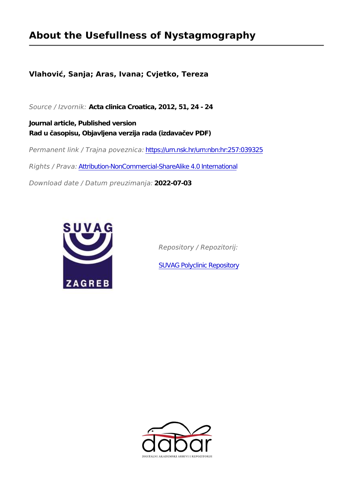## **About the Usefullness of Nystagmography**

## **Vlahović, Sanja; Aras, Ivana; Cvjetko, Tereza**

*Source / Izvornik:* **Acta clinica Croatica, 2012, 51, 24 - 24**

**Journal article, Published version Rad u časopisu, Objavljena verzija rada (izdavačev PDF)**

*Permanent link / Trajna poveznica:* <https://urn.nsk.hr/urn:nbn:hr:257:039325>

*Rights / Prava:* [Attribution-NonCommercial-ShareAlike 4.0 International](http://creativecommons.org/licenses/by-nc-sa/4.0/)

*Download date / Datum preuzimanja:* **2022-07-03**



*Repository / Repozitorij:*

[SUVAG Polyclinic Repository](https://repozitorij.suvag.hr)